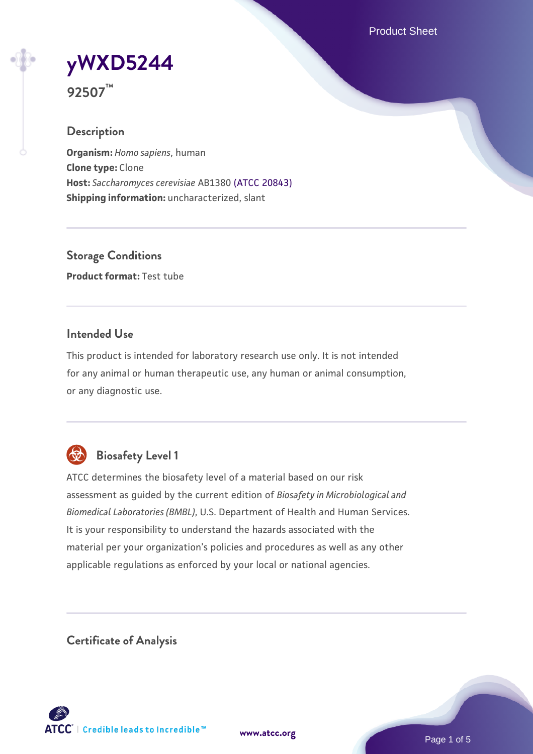Product Sheet

**[yWXD5244](https://www.atcc.org/products/92507)**

**92507™**

### **Description**

**Organism:** *Homo sapiens*, human **Clone type:** Clone **Host:** *Saccharomyces cerevisiae* AB1380 [\(ATCC 20843\)](https://www.atcc.org/products/20843) **Shipping information:** uncharacterized, slant

**Storage Conditions Product format:** Test tube

### **Intended Use**

This product is intended for laboratory research use only. It is not intended for any animal or human therapeutic use, any human or animal consumption, or any diagnostic use.



# **Biosafety Level 1**

ATCC determines the biosafety level of a material based on our risk assessment as guided by the current edition of *Biosafety in Microbiological and Biomedical Laboratories (BMBL)*, U.S. Department of Health and Human Services. It is your responsibility to understand the hazards associated with the material per your organization's policies and procedures as well as any other applicable regulations as enforced by your local or national agencies.

**Certificate of Analysis**

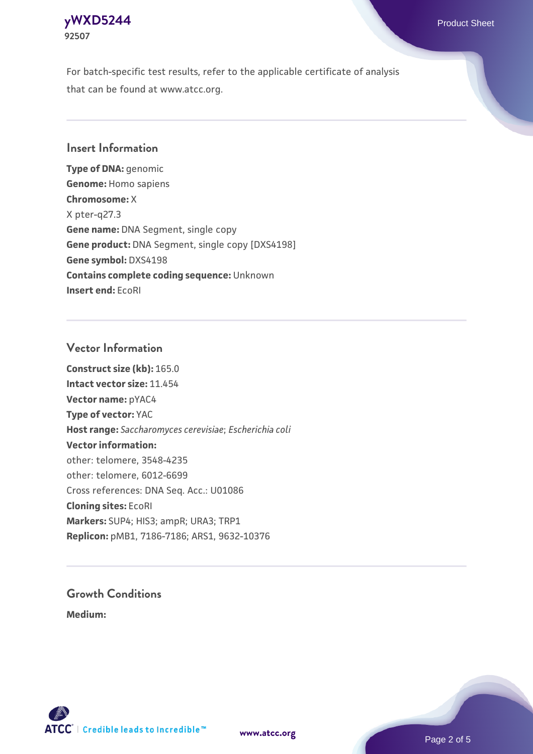

For batch-specific test results, refer to the applicable certificate of analysis that can be found at www.atcc.org.

### **Insert Information**

**Type of DNA:** genomic **Genome:** Homo sapiens **Chromosome:** X X pter-q27.3 **Gene name:** DNA Segment, single copy **Gene product:** DNA Segment, single copy [DXS4198] **Gene symbol:** DXS4198 **Contains complete coding sequence:** Unknown **Insert end:** EcoRI

#### **Vector Information**

**Construct size (kb):** 165.0 **Intact vector size:** 11.454 **Vector name:** pYAC4 **Type of vector:** YAC **Host range:** *Saccharomyces cerevisiae*; *Escherichia coli* **Vector information:** other: telomere, 3548-4235 other: telomere, 6012-6699 Cross references: DNA Seq. Acc.: U01086 **Cloning sites:** EcoRI **Markers:** SUP4; HIS3; ampR; URA3; TRP1 **Replicon:** pMB1, 7186-7186; ARS1, 9632-10376

# **Growth Conditions**

**Medium:** 





Page 2 of 5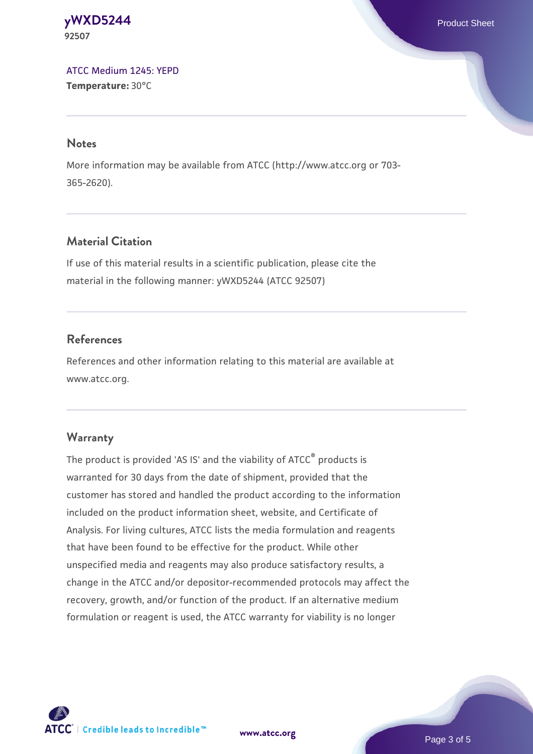#### **[yWXD5244](https://www.atcc.org/products/92507)** Product Sheet **92507**

[ATCC Medium 1245: YEPD](https://www.atcc.org/-/media/product-assets/documents/microbial-media-formulations/1/2/4/5/atcc-medium-1245.pdf?rev=705ca55d1b6f490a808a965d5c072196) **Temperature:** 30°C

#### **Notes**

More information may be available from ATCC (http://www.atcc.org or 703- 365-2620).

# **Material Citation**

If use of this material results in a scientific publication, please cite the material in the following manner: yWXD5244 (ATCC 92507)

# **References**

References and other information relating to this material are available at www.atcc.org.

# **Warranty**

The product is provided 'AS IS' and the viability of ATCC® products is warranted for 30 days from the date of shipment, provided that the customer has stored and handled the product according to the information included on the product information sheet, website, and Certificate of Analysis. For living cultures, ATCC lists the media formulation and reagents that have been found to be effective for the product. While other unspecified media and reagents may also produce satisfactory results, a change in the ATCC and/or depositor-recommended protocols may affect the recovery, growth, and/or function of the product. If an alternative medium formulation or reagent is used, the ATCC warranty for viability is no longer



**[www.atcc.org](http://www.atcc.org)**

Page 3 of 5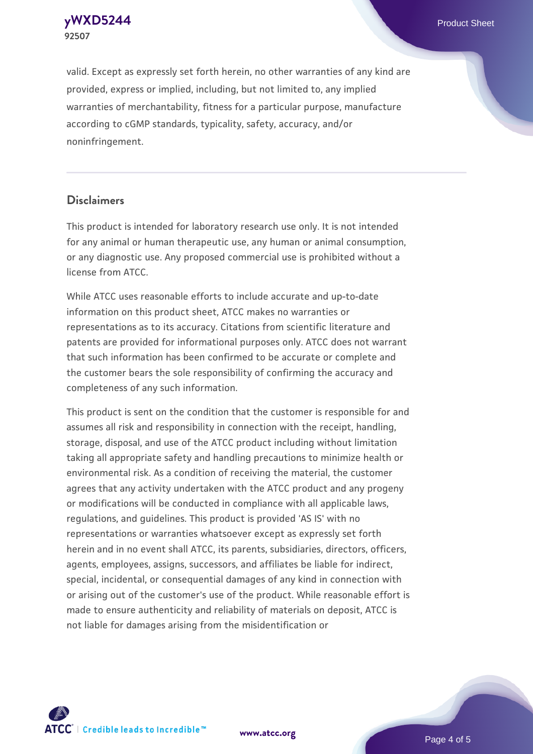**92507**

**[yWXD5244](https://www.atcc.org/products/92507)** Product Sheet

valid. Except as expressly set forth herein, no other warranties of any kind are provided, express or implied, including, but not limited to, any implied warranties of merchantability, fitness for a particular purpose, manufacture according to cGMP standards, typicality, safety, accuracy, and/or noninfringement.

#### **Disclaimers**

This product is intended for laboratory research use only. It is not intended for any animal or human therapeutic use, any human or animal consumption, or any diagnostic use. Any proposed commercial use is prohibited without a license from ATCC.

While ATCC uses reasonable efforts to include accurate and up-to-date information on this product sheet, ATCC makes no warranties or representations as to its accuracy. Citations from scientific literature and patents are provided for informational purposes only. ATCC does not warrant that such information has been confirmed to be accurate or complete and the customer bears the sole responsibility of confirming the accuracy and completeness of any such information.

This product is sent on the condition that the customer is responsible for and assumes all risk and responsibility in connection with the receipt, handling, storage, disposal, and use of the ATCC product including without limitation taking all appropriate safety and handling precautions to minimize health or environmental risk. As a condition of receiving the material, the customer agrees that any activity undertaken with the ATCC product and any progeny or modifications will be conducted in compliance with all applicable laws, regulations, and guidelines. This product is provided 'AS IS' with no representations or warranties whatsoever except as expressly set forth herein and in no event shall ATCC, its parents, subsidiaries, directors, officers, agents, employees, assigns, successors, and affiliates be liable for indirect, special, incidental, or consequential damages of any kind in connection with or arising out of the customer's use of the product. While reasonable effort is made to ensure authenticity and reliability of materials on deposit, ATCC is not liable for damages arising from the misidentification or



**[www.atcc.org](http://www.atcc.org)**

Page 4 of 5